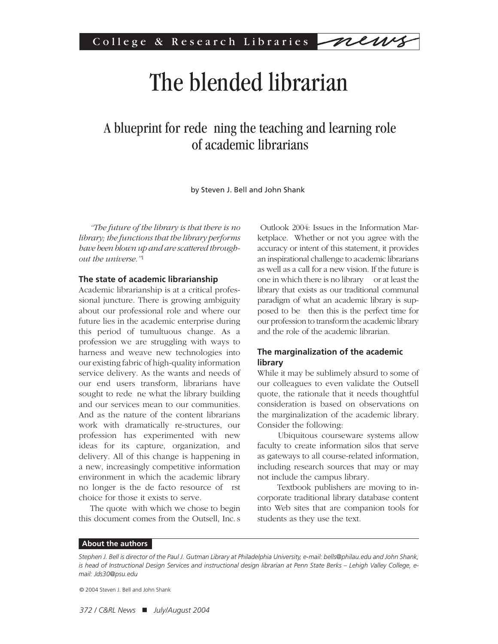# The blended librarian

# A blueprint for rede ning the teaching and learning role of academic librarians

by Steven J. Bell and John Shank

*"The future of the library is that there is no library; the functions that the library performs have been blown up and are scattered throughout the universe."*<sup>1</sup>

#### **The state of academic librarianship**

Academic librarianship is at a critical professional juncture. There is growing ambiguity about our professional role and where our future lies in the academic enterprise during this period of tumultuous change. As a profession we are struggling with ways to harness and weave new technologies into our existing fabric of high-quality information service delivery. As the wants and needs of our end users transform, librarians have sought to rede ne what the library building and our services mean to our communities. And as the nature of the content librarians work with dramatically restructures, our profession has experimented with new ideas for its capture, organization, and delivery. All of this change is happening in a new, increasingly competitive information environment in which the academic library no longer is the de facto resource of rst choice for those it exists to serve.

The quote with which we chose to begin this document comes from the Outsell, Inc. s

Outlook 2004: Issues in the Information Marketplace." Whether or not you agree with the accuracy or intent of this statement, it provides an inspirational challenge to academic librarians as well as a call for a new vision. If the future is one in which there is no library —or at least the library that exists as our traditional communal paradigm of what an academic library is supposed to be—then this is the perfect time for our profession to transform the academic library and the role of the academic librarian.

# **The marginalization of the academic library**

While it may be sublimely absurd to some of our colleagues to even validate the Outsell quote, the rationale that it needs thoughtful consideration is based on observations on the marginalization of the academic library. Consider the following:

 Ubiquitous courseware systems allow faculty to create information silos that serve as gateways to all course-related information, including research sources that may or may not include the campus library.

 Textbook publishers are moving to incorporate traditional library database content into Web sites that are companion tools for students as they use the text.

#### **About the authors**

*Stephen J. Bell is director of the Paul J. Gutman Library at Philadelphia University, e-mail: bells@philau.edu and John Shank, is head of Instructional Design Services and instructional design librarian at Penn State Berks – Lehigh Valley College, email: Jds30@psu.edu* 

© 2004 Steven J. Bell and John Shank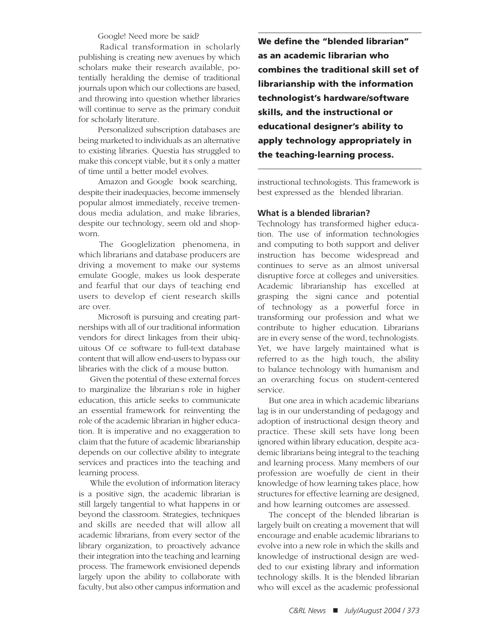Google! Need more be said?

 Radical transformation in scholarly publishing is creating new avenues by which scholars make their research available, potentially heralding the demise of traditional journals upon which our collections are based, and throwing into question whether libraries will continue to serve as the primary conduit for scholarly literature.

 Personalized subscription databases are being marketed to individuals as an alternative to existing libraries. Questia has struggled to make this concept viable, but it s only a matter of time until a better model evolves.

Amazon and Google book searching, despite their inadequacies, become immensely popular almost immediately, receive tremendous media adulation, and make libraries, despite our technology, seem old and shopworn.

The Googlelization phenomena, in which librarians and database producers are driving a movement to make our systems emulate Google, makes us look desperate and fearful that our days of teaching end users to develop ef cient research skills are over.

 Microsoft is pursuing and creating partnerships with all of our traditional information vendors for direct linkages from their ubiquitous Of ce software to full-text database content that will allow end-users to bypass our libraries with the click of a mouse button.

Given the potential of these external forces to marginalize the librarian's role in higher education, this article seeks to communicate an essential framework for reinventing the role of the academic librarian in higher education. It is imperative and no exaggeration to claim that the future of academic librarianship depends on our collective ability to integrate services and practices into the teaching and learning process.

While the evolution of information literacy is a positive sign, the academic librarian is still largely tangential to what happens in or beyond the classroom. Strategies, techniques and skills are needed that will allow all academic librarians, from every sector of the library organization, to proactively advance their integration into the teaching and learning process. The framework envisioned depends largely upon the ability to collaborate with faculty, but also other campus information and

**We define the "blended librarian" as an academic librarian who combines the traditional skill set of librarianship with the information technologist's hardware/software skills, and the instructional or educational designer's ability to apply technology appropriately in the teaching-learning process.** 

instructional technologists. This framework is best expressed as the blended librarian.

# **What is a blended librarian?**

Technology has transformed higher education. The use of information technologies and computing to both support and deliver instruction has become widespread and continues to serve as an almost universal disruptive force at colleges and universities. Academic librarianship has excelled at grasping the signi cance and potential of technology as a powerful force in transforming our profession and what we contribute to higher education. Librarians are in every sense of the word, technologists. Yet, we have largely maintained what is referred to as the high touch, the ability to balance technology with humanism and an overarching focus on student-centered service.

But one area in which academic librarians lag is in our understanding of pedagogy and adoption of instructional design theory and practice. These skill sets have long been ignored within library education, despite academic librarians being integral to the teaching and learning process. Many members of our profession are woefully de cient in their knowledge of how learning takes place, how structures for effective learning are designed, and how learning outcomes are assessed.

The concept of the blended librarian is largely built on creating a movement that will encourage and enable academic librarians to evolve into a new role in which the skills and knowledge of instructional design are wedded to our existing library and information technology skills. It is the blended librarian who will excel as the academic professional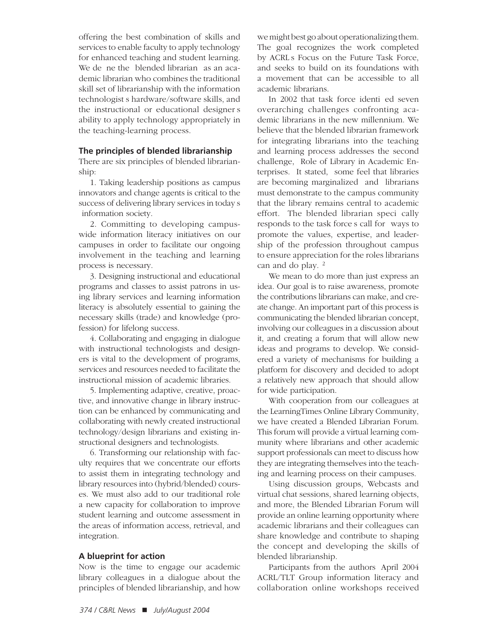offering the best combination of skills and services to enable faculty to apply technology for enhanced teaching and student learning. We de ne the blended librarian as an academic librarian who combines the traditional skill set of librarianship with the information technologist s hardware/software skills, and the instructional or educational designers ability to apply technology appropriately in the teaching-learning process.

#### **The principles of blended librarianship**

There are six principles of blended librarianship:

1. Taking leadership positions as campus innovators and change agents is critical to the success of delivering library services in today s information society.

2. Committing to developing campuswide information literacy initiatives on our campuses in order to facilitate our ongoing involvement in the teaching and learning process is necessary.

3. Designing instructional and educational programs and classes to assist patrons in using library services and learning information literacy is absolutely essential to gaining the necessary skills (trade) and knowledge (profession) for lifelong success.

4. Collaborating and engaging in dialogue with instructional technologists and designers is vital to the development of programs, services and resources needed to facilitate the instructional mission of academic libraries.

5. Implementing adaptive, creative, proactive, and innovative change in library instruction can be enhanced by communicating and collaborating with newly created instructional technology/design librarians and existing instructional designers and technologists.

6. Transforming our relationship with faculty requires that we concentrate our efforts to assist them in integrating technology and library resources into (hybrid/blended) courses. We must also add to our traditional role a new capacity for collaboration to improve student learning and outcome assessment in the areas of information access, retrieval, and integration.

#### **A blueprint for action**

Now is the time to engage our academic library colleagues in a dialogue about the principles of blended librarianship, and how

we might best go about operationalizing them. The goal recognizes the work completed by ACRL's Focus on the Future Task Force, and seeks to build on its foundations with a movement that can be accessible to all academic librarians.

In 2002 that task force identi ed seven overarching challenges confronting academic librarians in the new millennium. We believe that the blended librarian framework for integrating librarians into the teaching and learning process addresses the second challenge, Role of Library in Academic Enterprises. It stated, some feel that libraries are becoming marginalized and librarians must demonstrate to the campus community that the library remains central to academic effort. The blended librarian speci cally responds to the task force's call for ways to promote the values, expertise, and leadership of the profession throughout campus to ensure appreciation for the roles librarians can and do play. $2$ 

We mean to do more than just express an idea. Our goal is to raise awareness, promote the contributions librarians can make, and create change. An important part of this process is communicating the blended librarian concept, involving our colleagues in a discussion about it, and creating a forum that will allow new ideas and programs to develop. We considered a variety of mechanisms for building a platform for discovery and decided to adopt a relatively new approach that should allow for wide participation.

With cooperation from our colleagues at the LearningTimes Online Library Community, we have created a Blended Librarian Forum. This forum will provide a virtual learning community where librarians and other academic support professionals can meet to discuss how they are integrating themselves into the teaching and learning process on their campuses.

Using discussion groups, Webcasts and virtual chat sessions, shared learning objects, and more, the Blended Librarian Forum will provide an online learning opportunity where academic librarians and their colleagues can share knowledge and contribute to shaping the concept and developing the skills of blended librarianship.

Participants from the authors' April 2004 ACRL/TLT Group information literacy and collaboration online workshops received